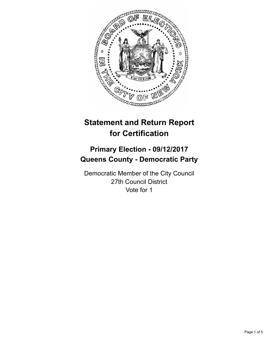

# **Statement and Return Report for Certification**

## **Primary Election - 09/12/2017 Queens County - Democratic Party**

Democratic Member of the City Council 27th Council District Vote for 1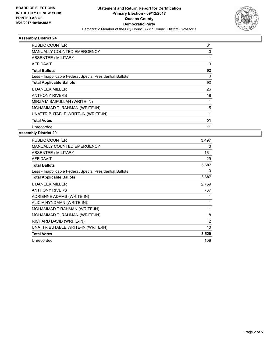

### **Assembly District 24**

| <b>PUBLIC COUNTER</b>                                    | 61 |
|----------------------------------------------------------|----|
| <b>MANUALLY COUNTED EMERGENCY</b>                        | 0  |
| ABSENTEE / MILITARY                                      |    |
| <b>AFFIDAVIT</b>                                         | 0  |
| <b>Total Ballots</b>                                     | 62 |
| Less - Inapplicable Federal/Special Presidential Ballots | 0  |
| <b>Total Applicable Ballots</b>                          | 62 |
| I. DANEEK MILLER                                         | 26 |
| <b>ANTHONY RIVERS</b>                                    | 18 |
| MIRZA M SAIFULLAH (WRITE-IN)                             |    |
| MOHAMMAD T. RAHMAN (WRITE-IN)                            | 5  |
| UNATTRIBUTABLE WRITE-IN (WRITE-IN)                       | 1  |
| <b>Total Votes</b>                                       | 51 |
| Unrecorded                                               | 11 |

### **Assembly District 29**

| PUBLIC COUNTER                                           | 3,497 |
|----------------------------------------------------------|-------|
| <b>MANUALLY COUNTED EMERGENCY</b>                        | 0     |
| ABSENTEE / MILITARY                                      | 161   |
| <b>AFFIDAVIT</b>                                         | 29    |
| <b>Total Ballots</b>                                     | 3,687 |
| Less - Inapplicable Federal/Special Presidential Ballots | 0     |
| <b>Total Applicable Ballots</b>                          | 3,687 |
| I. DANEEK MILLER                                         | 2,759 |
| <b>ANTHONY RIVERS</b>                                    | 737   |
| ADRIENNE ADAMS (WRITE-IN)                                |       |
| ALICIA HYNDMAN (WRITE-IN)                                | 1     |
| MOHAMMAD T RAHMAN (WRITE-IN)                             | 1     |
| MOHAMMAD T. RAHMAN (WRITE-IN)                            | 18    |
| RICHARD DAVID (WRITE-IN)                                 | 2     |
| UNATTRIBUTABLE WRITE-IN (WRITE-IN)                       | 10    |
| <b>Total Votes</b>                                       | 3,529 |
| Unrecorded                                               | 158   |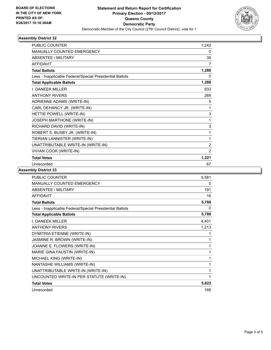

### **Assembly District 32**

| <b>PUBLIC COUNTER</b>                                    | 1,242          |
|----------------------------------------------------------|----------------|
| <b>MANUALLY COUNTED EMERGENCY</b>                        | 0              |
| <b>ABSENTEE / MILITARY</b>                               | 39             |
| <b>AFFIDAVIT</b>                                         | 7              |
| <b>Total Ballots</b>                                     | 1,288          |
| Less - Inapplicable Federal/Special Presidential Ballots | 0              |
| <b>Total Applicable Ballots</b>                          | 1,288          |
| <b>I. DANEEK MILLER</b>                                  | 933            |
| <b>ANTHONY RIVERS</b>                                    | 269            |
| ADRIENNE ADAMS (WRITE-IN)                                | 5              |
| CARL DEHANCY JR. (WRITE-IN)                              | 1              |
| HETTIE POWELL (WRITE-IN)                                 | 3              |
| JOSEPH MARTHONE (WRITE-IN)                               | 1              |
| RICHARD DAVID (WRITE-IN)                                 | 3              |
| ROBERT S. BUSBY JR. (WRITE-IN)                           | 1              |
| TIERIAN LANNISTER (WRITE-IN)                             | 1              |
| UNATTRIBUTABLE WRITE-IN (WRITE-IN)                       | $\overline{2}$ |
| VIVIAN COOK (WRITE-IN)                                   | $\overline{2}$ |
| <b>Total Votes</b>                                       | 1,221          |
| Unrecorded                                               | 67             |

### **Assembly District 33**

| <b>PUBLIC COUNTER</b>                                    | 5,581 |
|----------------------------------------------------------|-------|
| <b>MANUALLY COUNTED EMERGENCY</b>                        | 0     |
| <b>ABSENTEE / MILITARY</b>                               | 191   |
| <b>AFFIDAVIT</b>                                         | 16    |
| <b>Total Ballots</b>                                     | 5,788 |
| Less - Inapplicable Federal/Special Presidential Ballots | 0     |
| <b>Total Applicable Ballots</b>                          | 5,788 |
| <b>I. DANEEK MILLER</b>                                  | 4,401 |
| <b>ANTHONY RIVERS</b>                                    | 1,213 |
| DYMITRIA ETIENNE (WRITE-IN)                              | 1     |
| JASMINE R. BROWN (WRITE-IN)                              | 1     |
| JOANNE E. FLOWERS (WRITE-IN)                             | 1     |
| MARIE GINA FAUSTIN (WRITE-IN)                            | 1     |
| MICHAEL KING (WRITE-IN)                                  | 1     |
| <b>NANTASHE WILLIAMS (WRITE-IN)</b>                      | 1     |
| UNATTRIBUTABLE WRITE-IN (WRITE-IN)                       | 1     |
| UNCOUNTED WRITE-IN PER STATUTE (WRITE-IN)                | 1     |
| <b>Total Votes</b>                                       | 5,622 |
| Unrecorded                                               | 166   |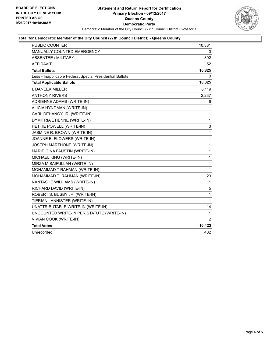

### **Total for Democratic Member of the City Council (27th Council District) - Queens County**

| <b>PUBLIC COUNTER</b>                                    | 10,381       |
|----------------------------------------------------------|--------------|
| MANUALLY COUNTED EMERGENCY                               | 0            |
| ABSENTEE / MILITARY                                      | 392          |
| <b>AFFIDAVIT</b>                                         | 52           |
| <b>Total Ballots</b>                                     | 10,825       |
| Less - Inapplicable Federal/Special Presidential Ballots | 0            |
| <b>Total Applicable Ballots</b>                          | 10,825       |
| <b>I. DANEEK MILLER</b>                                  | 8,119        |
| <b>ANTHONY RIVERS</b>                                    | 2,237        |
| ADRIENNE ADAMS (WRITE-IN)                                | 6            |
| ALICIA HYNDMAN (WRITE-IN)                                | $\mathbf{1}$ |
| CARL DEHANCY JR. (WRITE-IN)                              | $\mathbf{1}$ |
| DYMITRIA ETIENNE (WRITE-IN)                              | 1            |
| HETTIE POWELL (WRITE-IN)                                 | 3            |
| JASMINE R. BROWN (WRITE-IN)                              | 1            |
| JOANNE E. FLOWERS (WRITE-IN)                             | $\mathbf 1$  |
| <b>JOSEPH MARTHONE (WRITE-IN)</b>                        | 1            |
| MARIE GINA FAUSTIN (WRITE-IN)                            | 1            |
| MICHAEL KING (WRITE-IN)                                  | $\mathbf{1}$ |
| MIRZA M SAIFULLAH (WRITE-IN)                             | $\mathbf{1}$ |
| MOHAMMAD T RAHMAN (WRITE-IN)                             | 1            |
| MOHAMMAD T. RAHMAN (WRITE-IN)                            | 23           |
| NANTASHE WILLIAMS (WRITE-IN)                             | 1            |
| RICHARD DAVID (WRITE-IN)                                 | 5            |
| ROBERT S. BUSBY JR. (WRITE-IN)                           | $\mathbf{1}$ |
| TIERIAN LANNISTER (WRITE-IN)                             | 1            |
| UNATTRIBUTABLE WRITE-IN (WRITE-IN)                       | 14           |
| UNCOUNTED WRITE-IN PER STATUTE (WRITE-IN)                | 1            |
| VIVIAN COOK (WRITE-IN)                                   | 2            |
| <b>Total Votes</b>                                       | 10,423       |
| Unrecorded                                               | 402          |